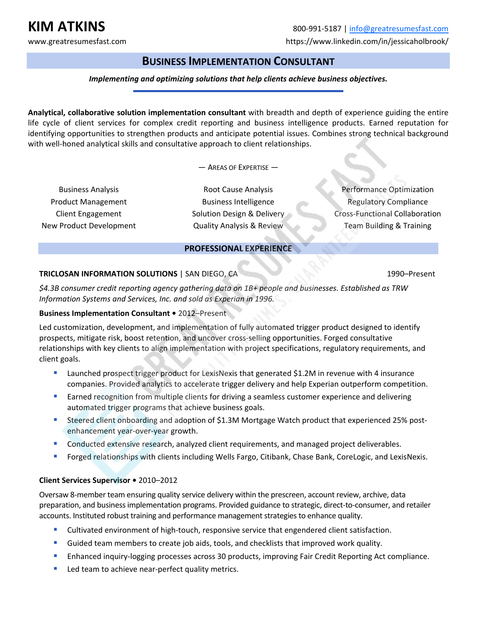# **BUSINESS IMPLEMENTATION CONSULTANT**

## *Implementing and optimizing solutions that help clients achieve business objectives.*

**Analytical, collaborative solution implementation consultant** with breadth and depth of experience guiding the entire life cycle of client services for complex credit reporting and business intelligence products. Earned reputation for identifying opportunities to strengthen products and anticipate potential issues. Combines strong technical background with well-honed analytical skills and consultative approach to client relationships.

— AREAS OF EXPERTISE —

Business Analysis Product Management Client Engagement New Product Development

Root Cause Analysis Business Intelligence Solution Design & Delivery Quality Analysis & Review

Performance Optimization Regulatory Compliance Cross‐Functional Collaboration Team Building & Training

## **PROFESSIONAL EXPERIENCE**

### **TRICLOSAN INFORMATION SOLUTIONS | SAN DIEGO, CA 1990–Present**

*\$4.3B consumer credit reporting agency gathering data on 1B+ people and businesses. Established as TRW Information Systems and Services, Inc. and sold as Experian in 1996.* 

### **Business Implementation Consultant •** 2012–Present

Led customization, development, and implementation of fully automated trigger product designed to identify prospects, mitigate risk, boost retention, and uncover cross‐selling opportunities. Forged consultative relationships with key clients to align implementation with project specifications, regulatory requirements, and client goals.

- **EXECUTE:** Launched prospect trigger product for LexisNexis that generated \$1.2M in revenue with 4 insurance companies. Provided analytics to accelerate trigger delivery and help Experian outperform competition.
- **Earned recognition from multiple clients for driving a seamless customer experience and delivering** automated trigger programs that achieve business goals.
- Steered client onboarding and adoption of \$1.3M Mortgage Watch product that experienced 25% post‐ enhancement year‐over‐year growth.
- **Conducted extensive research, analyzed client requirements, and managed project deliverables.**
- **Forged relationships with clients including Wells Fargo, Citibank, Chase Bank, CoreLogic, and LexisNexis.**

## **Client Services Supervisor •** 2010–2012

Oversaw 8‐member team ensuring quality service delivery within the prescreen, account review, archive, data preparation, and business implementation programs. Provided guidance to strategic, direct‐to‐consumer, and retailer accounts. Instituted robust training and performance management strategies to enhance quality.

- Cultivated environment of high-touch, responsive service that engendered client satisfaction.
- Guided team members to create job aids, tools, and checklists that improved work quality.
- Enhanced inquiry-logging processes across 30 products, improving Fair Credit Reporting Act compliance.
- Led team to achieve near-perfect quality metrics.